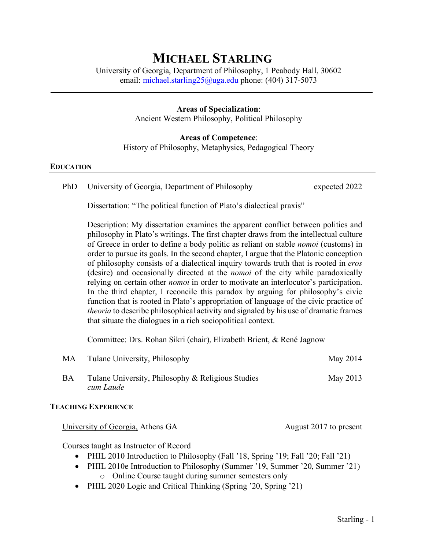# **MICHAEL STARLING**

University of Georgia, Department of Philosophy, 1 Peabody Hall, 30602 email: [michael.starling25@uga.edu](mailto:michael.starling25@uga.edu) phone: (404) 317-5073

## **Areas of Specialization**:

Ancient Western Philosophy, Political Philosophy

# **Areas of Competence**:

History of Philosophy, Metaphysics, Pedagogical Theory

## **EDUCATION**

PhD University of Georgia, Department of Philosophy expected 2022

Dissertation: "The political function of Plato's dialectical praxis"

Description: My dissertation examines the apparent conflict between politics and philosophy in Plato's writings. The first chapter draws from the intellectual culture of Greece in order to define a body politic as reliant on stable *nomoi* (customs) in order to pursue its goals. In the second chapter, I argue that the Platonic conception of philosophy consists of a dialectical inquiry towards truth that is rooted in *eros* (desire) and occasionally directed at the *nomoi* of the city while paradoxically relying on certain other *nomoi* in order to motivate an interlocutor's participation. In the third chapter, I reconcile this paradox by arguing for philosophy's civic function that is rooted in Plato's appropriation of language of the civic practice of *theoria* to describe philosophical activity and signaled by his use of dramatic frames that situate the dialogues in a rich sociopolitical context.

Committee: Drs. Rohan Sikri (chair), Elizabeth Brient, & René Jagnow

| MA        | Tulane University, Philosophy                                  | May 2014 |
|-----------|----------------------------------------------------------------|----------|
| <b>BA</b> | Tulane University, Philosophy & Religious Studies<br>cum Laude | May 2013 |

## **TEACHING EXPERIENCE**

University of Georgia, Athens GA August 2017 to present

Courses taught as Instructor of Record

- PHIL 2010 Introduction to Philosophy (Fall '18, Spring '19; Fall '20; Fall '21)
- PHIL 2010e Introduction to Philosophy (Summer '19, Summer '20, Summer '21) o Online Course taught during summer semesters only
- PHIL 2020 Logic and Critical Thinking (Spring '20, Spring '21)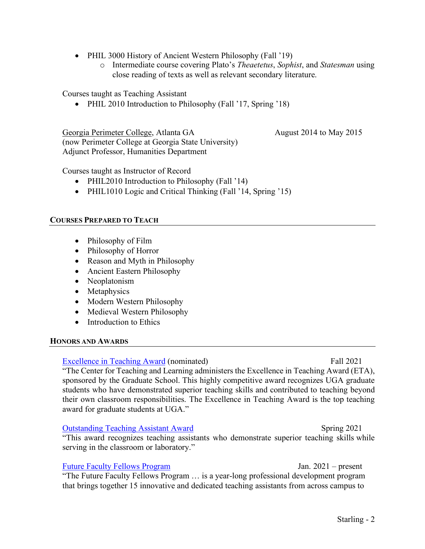- PHIL 3000 History of Ancient Western Philosophy (Fall '19)
	- o Intermediate course covering Plato's *Theaetetus*, *Sophist*, and *Statesman* using close reading of texts as well as relevant secondary literature.

Courses taught as Teaching Assistant

• PHIL 2010 Introduction to Philosophy (Fall '17, Spring '18)

Georgia Perimeter College, Atlanta GA August 2014 to May 2015 (now Perimeter College at Georgia State University) Adjunct Professor, Humanities Department

Courses taught as Instructor of Record

- PHIL2010 Introduction to Philosophy (Fall '14)
- PHIL1010 Logic and Critical Thinking (Fall '14, Spring '15)

# **COURSES PREPARED TO TEACH**

- Philosophy of Film
- Philosophy of Horror
- Reason and Myth in Philosophy
- Ancient Eastern Philosophy
- Neoplatonism
- Metaphysics
- Modern Western Philosophy
- Medieval Western Philosophy
- Introduction to Ethics

## **HONORS AND AWARDS**

## [Excellence in Teaching Award](https://ctl.uga.edu/grad-student/teaching-awards/excellence-in-teaching-award/) (nominated) Fall 2021

"The Center for Teaching and Learning administers the Excellence in Teaching Award (ETA), sponsored by the Graduate School. This highly competitive award recognizes UGA graduate students who have demonstrated superior teaching skills and contributed to teaching beyond their own classroom responsibilities. The Excellence in Teaching Award is the top teaching award for graduate students at UGA."

## [Outstanding Teaching Assistant Award](https://ctl.uga.edu/grad-student/teaching-awards/outstanding-teaching-award/) Spring 2021

"This award recognizes teaching assistants who demonstrate superior teaching skills while serving in the classroom or laboratory."

## [Future Faculty Fellows](https://ctl.uga.edu/grad-student/future-faculty-fellows/) Program Tan Music States and Tan. 2021 – present

"The Future Faculty Fellows Program … is a year-long professional development program that brings together 15 innovative and dedicated teaching assistants from across campus to

Starling - 2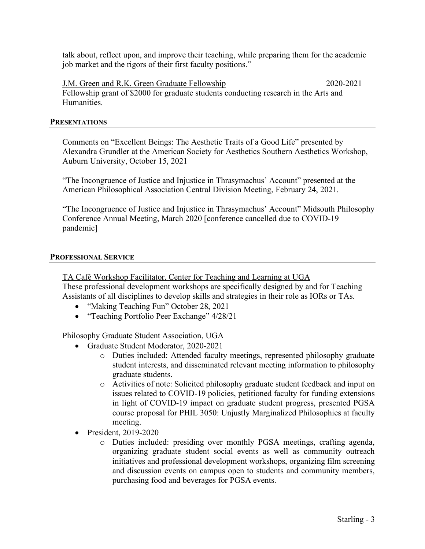talk about, reflect upon, and improve their teaching, while preparing them for the academic job market and the rigors of their first faculty positions."

J.M. Green and R.K. Green Graduate Fellowship 2020-2021 Fellowship grant of \$2000 for graduate students conducting research in the Arts and Humanities.

## **PRESENTATIONS**

Comments on "Excellent Beings: The Aesthetic Traits of a Good Life" presented by Alexandra Grundler at the American Society for Aesthetics Southern Aesthetics Workshop, Auburn University, October 15, 2021

"The Incongruence of Justice and Injustice in Thrasymachus' Account" presented at the American Philosophical Association Central Division Meeting, February 24, 2021.

"The Incongruence of Justice and Injustice in Thrasymachus' Account" Midsouth Philosophy Conference Annual Meeting, March 2020 [conference cancelled due to COVID-19 pandemic]

## **PROFESSIONAL SERVICE**

## TA Café Workshop Facilitator, Center for Teaching and Learning at UGA

These professional development workshops are specifically designed by and for Teaching Assistants of all disciplines to develop skills and strategies in their role as IORs or TAs.

- "Making Teaching Fun" October 28, 2021
- "Teaching Portfolio Peer Exchange" 4/28/21

Philosophy Graduate Student Association, UGA

- Graduate Student Moderator, 2020-2021
	- o Duties included: Attended faculty meetings, represented philosophy graduate student interests, and disseminated relevant meeting information to philosophy graduate students.
	- o Activities of note: Solicited philosophy graduate student feedback and input on issues related to COVID-19 policies, petitioned faculty for funding extensions in light of COVID-19 impact on graduate student progress, presented PGSA course proposal for PHIL 3050: Unjustly Marginalized Philosophies at faculty meeting.
- President, 2019-2020
	- o Duties included: presiding over monthly PGSA meetings, crafting agenda, organizing graduate student social events as well as community outreach initiatives and professional development workshops, organizing film screening and discussion events on campus open to students and community members, purchasing food and beverages for PGSA events.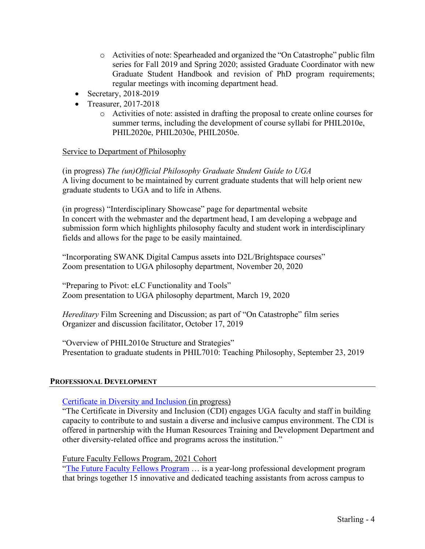- o Activities of note: Spearheaded and organized the "On Catastrophe" public film series for Fall 2019 and Spring 2020; assisted Graduate Coordinator with new Graduate Student Handbook and revision of PhD program requirements; regular meetings with incoming department head.
- Secretary, 2018-2019
- Treasurer, 2017-2018
	- o Activities of note: assisted in drafting the proposal to create online courses for summer terms, including the development of course syllabi for PHIL2010e, PHIL2020e, PHIL2030e, PHIL2050e.

# Service to Department of Philosophy

(in progress) *The (un)Official Philosophy Graduate Student Guide to UGA* A living document to be maintained by current graduate students that will help orient new graduate students to UGA and to life in Athens.

(in progress) "Interdisciplinary Showcase" page for departmental website In concert with the webmaster and the department head, I am developing a webpage and submission form which highlights philosophy faculty and student work in interdisciplinary fields and allows for the page to be easily maintained.

"Incorporating SWANK Digital Campus assets into D2L/Brightspace courses" Zoom presentation to UGA philosophy department, November 20, 2020

"Preparing to Pivot: eLC Functionality and Tools" Zoom presentation to UGA philosophy department, March 19, 2020

*Hereditary* Film Screening and Discussion; as part of "On Catastrophe" film series Organizer and discussion facilitator, October 17, 2019

"Overview of PHIL2010e Structure and Strategies" Presentation to graduate students in PHIL7010: Teaching Philosophy, September 23, 2019

## **PROFESSIONAL DEVELOPMENT**

[Certificate in Diversity and Inclusion](https://diversity.uga.edu/faculty_and_staff/individual_opportunities/cdi_program/) (in progress)

"The Certificate in Diversity and Inclusion (CDI) engages UGA faculty and staff in building capacity to contribute to and sustain a diverse and inclusive campus environment. The CDI is offered in partnership with the Human Resources Training and Development Department and other diversity-related office and programs across the institution."

Future Faculty Fellows Program, 2021 Cohort

["The Future Faculty Fellows Program](https://ctl.uga.edu/grad-student/future-faculty-fellows/) ... is a year-long professional development program that brings together 15 innovative and dedicated teaching assistants from across campus to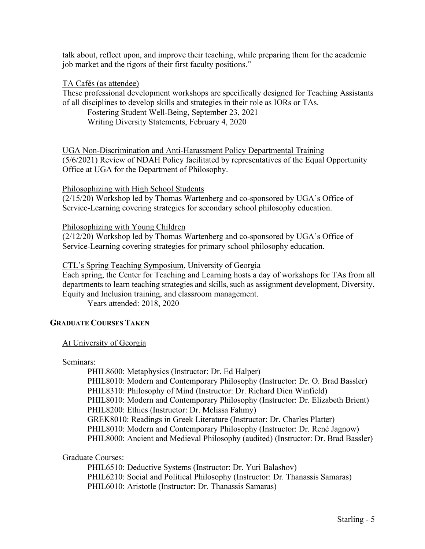talk about, reflect upon, and improve their teaching, while preparing them for the academic job market and the rigors of their first faculty positions."

## TA Cafés (as attendee)

These professional development workshops are specifically designed for Teaching Assistants of all disciplines to develop skills and strategies in their role as IORs or TAs.

Fostering Student Well-Being, September 23, 2021

Writing Diversity Statements, February 4, 2020

UGA Non-Discrimination and Anti-Harassment Policy Departmental Training (5/6/2021) Review of NDAH Policy facilitated by representatives of the Equal Opportunity Office at UGA for the Department of Philosophy.

## Philosophizing with High School Students

(2/15/20) Workshop led by Thomas Wartenberg and co-sponsored by UGA's Office of Service-Learning covering strategies for secondary school philosophy education.

## Philosophizing with Young Children

(2/12/20) Workshop led by Thomas Wartenberg and co-sponsored by UGA's Office of Service-Learning covering strategies for primary school philosophy education.

## CTL's Spring Teaching Symposium, University of Georgia

Each spring, the Center for Teaching and Learning hosts a day of workshops for TAs from all departments to learn teaching strategies and skills, such as assignment development, Diversity, Equity and Inclusion training, and classroom management.

Years attended: 2018, 2020

## **GRADUATE COURSES TAKEN**

## At University of Georgia

#### Seminars:

PHIL8600: Metaphysics (Instructor: Dr. Ed Halper) PHIL8010: Modern and Contemporary Philosophy (Instructor: Dr. O. Brad Bassler) PHIL8310: Philosophy of Mind (Instructor: Dr. Richard Dien Winfield) PHIL8010: Modern and Contemporary Philosophy (Instructor: Dr. Elizabeth Brient) PHIL8200: Ethics (Instructor: Dr. Melissa Fahmy) GREK8010: Readings in Greek Literature (Instructor: Dr. Charles Platter) PHIL8010: Modern and Contemporary Philosophy (Instructor: Dr. René Jagnow) PHIL8000: Ancient and Medieval Philosophy (audited) (Instructor: Dr. Brad Bassler)

# Graduate Courses:

PHIL6510: Deductive Systems (Instructor: Dr. Yuri Balashov) PHIL6210: Social and Political Philosophy (Instructor: Dr. Thanassis Samaras) PHIL6010: Aristotle (Instructor: Dr. Thanassis Samaras)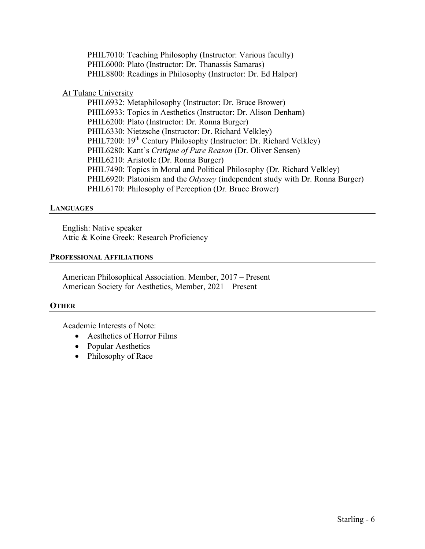PHIL7010: Teaching Philosophy (Instructor: Various faculty) PHIL6000: Plato (Instructor: Dr. Thanassis Samaras) PHIL8800: Readings in Philosophy (Instructor: Dr. Ed Halper)

# At Tulane University

PHIL6932: Metaphilosophy (Instructor: Dr. Bruce Brower) PHIL6933: Topics in Aesthetics (Instructor: Dr. Alison Denham) PHIL6200: Plato (Instructor: Dr. Ronna Burger) PHIL6330: Nietzsche (Instructor: Dr. Richard Velkley) PHIL7200: 19<sup>th</sup> Century Philosophy (Instructor: Dr. Richard Velkley) PHIL6280: Kant's *Critique of Pure Reason* (Dr. Oliver Sensen) PHIL6210: Aristotle (Dr. Ronna Burger) PHIL7490: Topics in Moral and Political Philosophy (Dr. Richard Velkley) PHIL6920: Platonism and the *Odyssey* (independent study with Dr. Ronna Burger) PHIL6170: Philosophy of Perception (Dr. Bruce Brower)

## **LANGUAGES**

English: Native speaker Attic & Koine Greek: Research Proficiency

## **PROFESSIONAL AFFILIATIONS**

American Philosophical Association. Member, 2017 – Present American Society for Aesthetics, Member, 2021 – Present

## **OTHER**

Academic Interests of Note:

- Aesthetics of Horror Films
- Popular Aesthetics
- Philosophy of Race